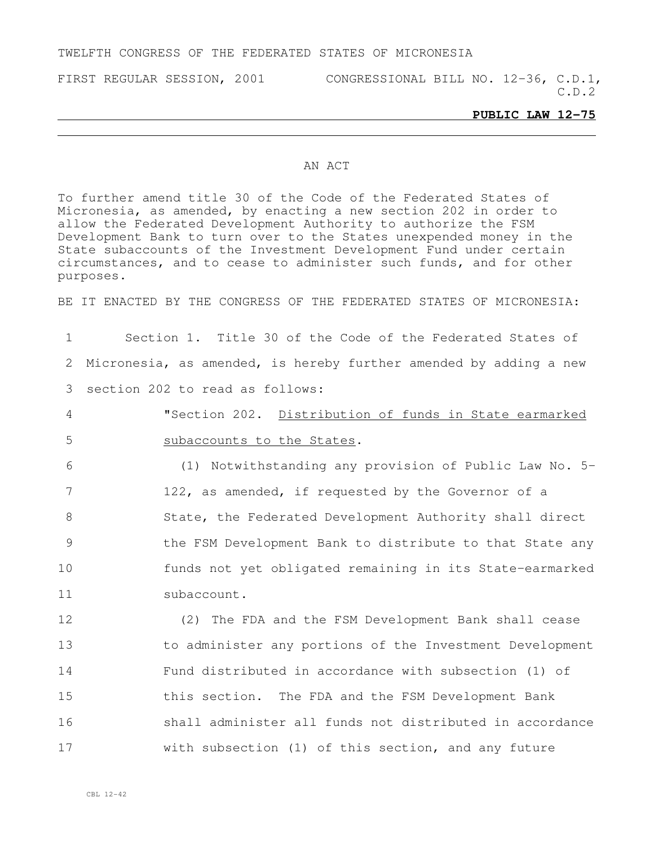## TWELFTH CONGRESS OF THE FEDERATED STATES OF MICRONESIA

FIRST REGULAR SESSION, 2001 CONGRESSIONAL BILL NO. 12-36, C.D.1,

C.D.2

## **PUBLIC LAW 12-75**

## AN ACT

To further amend title 30 of the Code of the Federated States of Micronesia, as amended, by enacting a new section 202 in order to allow the Federated Development Authority to authorize the FSM Development Bank to turn over to the States unexpended money in the State subaccounts of the Investment Development Fund under certain circumstances, and to cease to administer such funds, and for other purposes.

BE IT ENACTED BY THE CONGRESS OF THE FEDERATED STATES OF MICRONESIA:

1 Section 1. Title 30 of the Code of the Federated States of 2 Micronesia, as amended, is hereby further amended by adding a new 3 section 202 to read as follows:

4 "Section 202. Distribution of funds in State earmarked 5 subaccounts to the States.

 (1) Notwithstanding any provision of Public Law No. 5- 122, as amended, if requested by the Governor of a 8 State, the Federated Development Authority shall direct the FSM Development Bank to distribute to that State any funds not yet obligated remaining in its State-earmarked 11 subaccount.

 (2) The FDA and the FSM Development Bank shall cease to administer any portions of the Investment Development Fund distributed in accordance with subsection (1) of this section. The FDA and the FSM Development Bank shall administer all funds not distributed in accordance with subsection (1) of this section, and any future